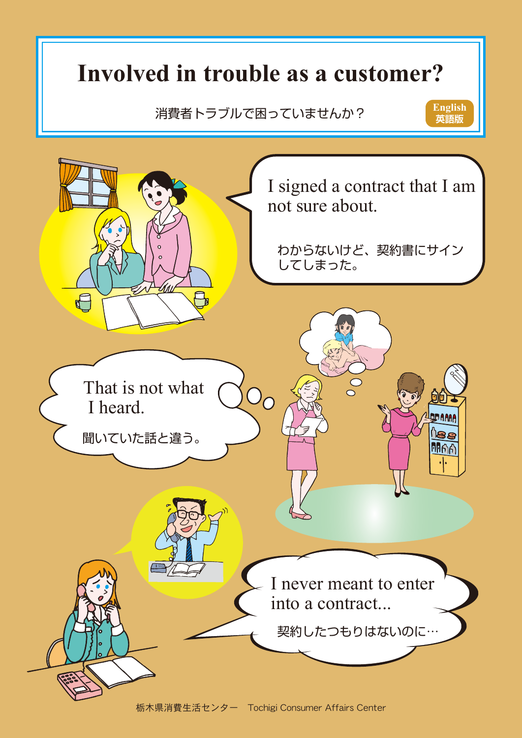# **Involved in trouble as a customer?**

消費者トラブルで困っていませんか?

**英語版 English**

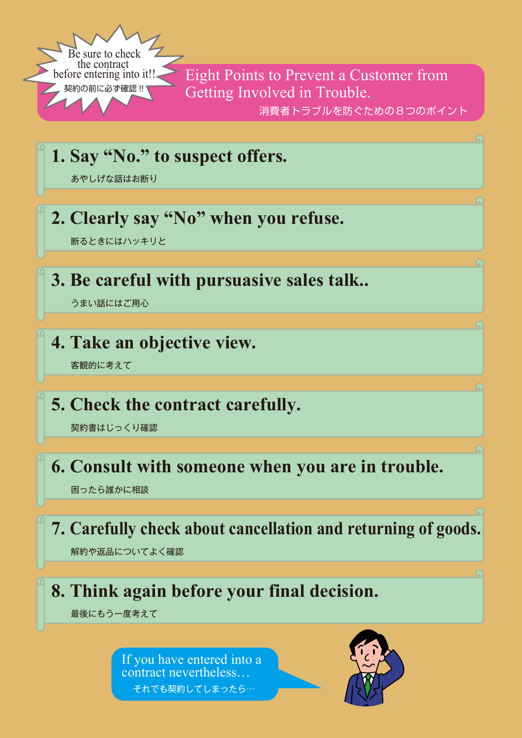![](_page_1_Picture_0.jpeg)

消費者トラブルを防ぐための8つのポイント **Eight Points to Prevent a Customer from** Getting Involved in Trouble.

|  |  |  |  | 1. Say "No." to suspect offers. |  |
|--|--|--|--|---------------------------------|--|
|--|--|--|--|---------------------------------|--|

あやしげな話はお断り

### **2. Clearly say "No" when you refuse.**

断るときにはハッキリと

#### **3. Be careful with pursuasive sales talk..**

うまい話にはご用心

#### **4. Take an objective view.**

客観的に考えて

#### **5. Check the contract carefully.**

契約書はじっくり確認

#### **6. Consult with someone when you are in trouble.**

困ったら誰かに相談

![](_page_1_Picture_14.jpeg)

![](_page_1_Picture_15.jpeg)

![](_page_1_Picture_16.jpeg)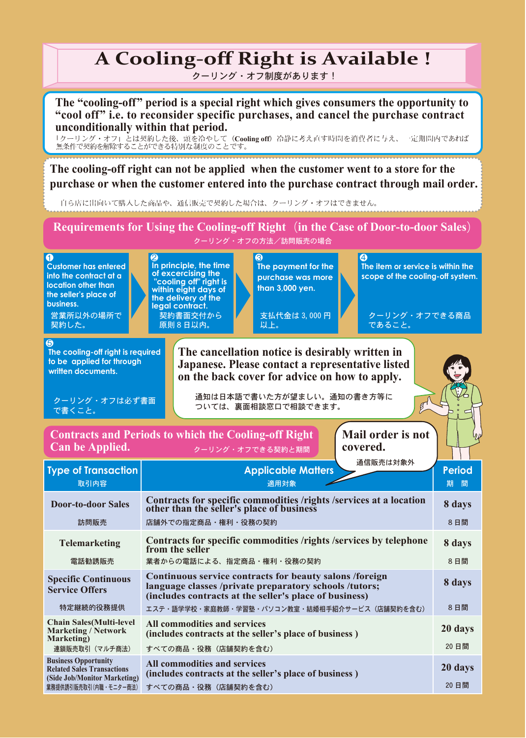## **A Cooling-off Right is Available !**

クーリング・オフ制度があります !

**The "cooling-off" period is a special right which gives consumers the opportunity to "cool off" i.e. to reconsider specific purchases, and cancel the purchase contract unconditionally within that period.**

「クーリング・オフ」とは契約した後、頭を冷やして(**Cooling off**)冷静に考え直す時間を消費者に与え、一定期間内であれば 無条件で契約を解除することができる特別な制度のことです。

**The cooling-off right can not be applied when the customer went to a store for the purchase or when the customer entered into the purchase contract through mail order.**

自ら店に出向いて購入した商品や、通信販売で契約した場合は、クーリング・オフはできません。

クーリング・オフの方法/訪問販売の場合 **Requirements for Using the Cooling-off Right**(**in the Case of Door-to-door Sales**)

![](_page_2_Picture_7.jpeg)

**Can be Applied.**

クーリング・オフできる契約と期間

**covered.**

| <b>Type of Transaction</b><br>取引内容                                                               | 通信販売は対象外<br><b>Applicable Matters</b><br>適用対象                                                                                                                               | .<br><b>Period</b><br>期<br>間 |
|--------------------------------------------------------------------------------------------------|-----------------------------------------------------------------------------------------------------------------------------------------------------------------------------|------------------------------|
| <b>Door-to-door Sales</b>                                                                        | Contracts for specific commodities /rights /services at a location<br>other than the seller's place of business                                                             | 8 days                       |
| 訪問販売                                                                                             | 店舗外での指定商品・権利・役務の契約                                                                                                                                                          | 8日間                          |
| <b>Telemarketing</b>                                                                             | Contracts for specific commodities /rights /services by telephone<br>from the seller                                                                                        | 8 days                       |
| 電話勧誘販売                                                                                           | 業者からの雷話による、指定商品・権利・役務の契約                                                                                                                                                    | 8日間                          |
| <b>Specific Continuous</b><br><b>Service Offers</b>                                              | Continuous service contracts for beauty salons /foreign<br>language classes /private preparatory schools /tutors;<br>(includes contracts at the seller's place of business) | 8 days                       |
| 特定継続的役務提供                                                                                        | エステ・語学学校・家庭教師・学習塾・パソコン教室・結婚相手紹介サービス(店舗契約を含む)                                                                                                                                | 8日間                          |
| <b>Chain Sales (Multi-level)</b><br><b>Marketing / Network</b><br>Marketing)                     | <b>All commodities and services</b><br>(includes contracts at the seller's place of business)                                                                               | 20 days                      |
| 連鎖販売取引(マルチ商法)                                                                                    | すべての商品・役務(店舗契約を含む)                                                                                                                                                          | 20日間                         |
| <b>Business Opportunity</b><br><b>Related Sales Transactions</b><br>(Side Job/Monitor Marketing) | All commodities and services<br>(includes contracts at the seller's place of business)                                                                                      | 20 days                      |
| 業務提供誘引販売取引(内職・モニター商法)                                                                            | すべての商品・役務(店舗契約を含む)                                                                                                                                                          | 20 日間                        |